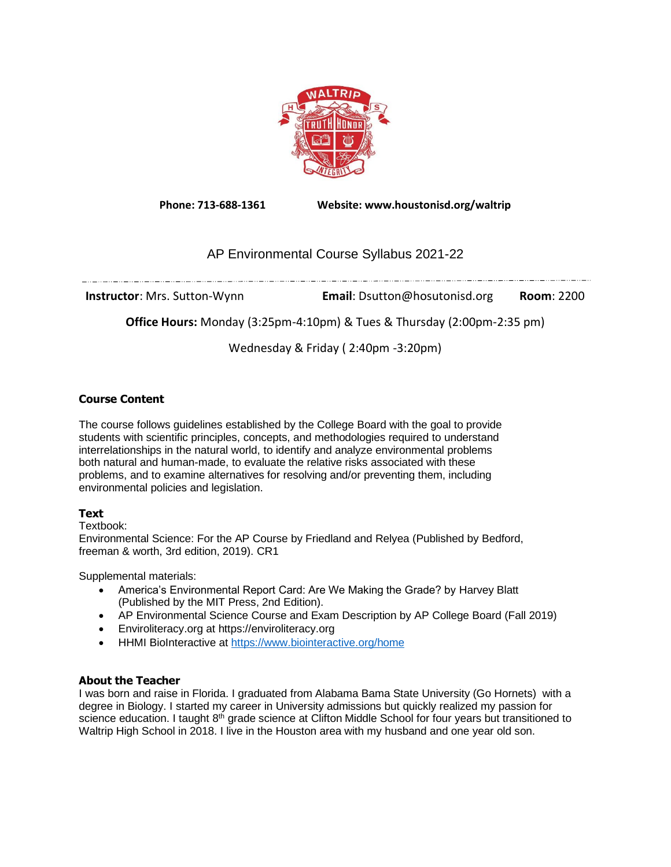

**Phone: 713-688-1361 Website: www.houstonisd.org/waltrip**

# AP Environmental Course Syllabus 2021-22

**Instructor**: Mrs. Sutton-Wynn **Email**: Dsutton@hosutonisd.org **Room**: 2200

**Office Hours:** Monday (3:25pm-4:10pm) & Tues & Thursday (2:00pm-2:35 pm)

Wednesday & Friday ( 2:40pm -3:20pm)

# **Course Content**

The course follows guidelines established by the College Board with the goal to provide students with scientific principles, concepts, and methodologies required to understand interrelationships in the natural world, to identify and analyze environmental problems both natural and human-made, to evaluate the relative risks associated with these problems, and to examine alternatives for resolving and/or preventing them, including environmental policies and legislation.

# **Text**

Textbook:

Environmental Science: For the AP Course by Friedland and Relyea (Published by Bedford, freeman & worth, 3rd edition, 2019). CR1

Supplemental materials:

- America's Environmental Report Card: Are We Making the Grade? by Harvey Blatt (Published by the MIT Press, 2nd Edition).
- AP Environmental Science Course and Exam Description by AP College Board (Fall 2019)
- Enviroliteracy.org at https://enviroliteracy.org
- HHMI BioInteractive at<https://www.biointeractive.org/home>

# **About the Teacher**

I was born and raise in Florida. I graduated from Alabama Bama State University (Go Hornets) with a degree in Biology. I started my career in University admissions but quickly realized my passion for science education. I taught  $8<sup>th</sup>$  grade science at Clifton Middle School for four years but transitioned to Waltrip High School in 2018. I live in the Houston area with my husband and one year old son.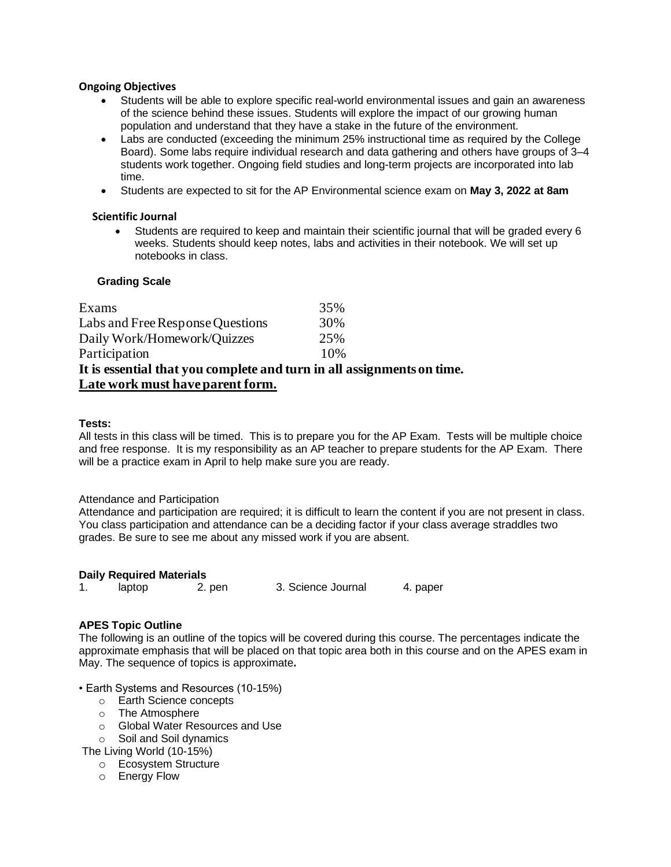## **Ongoing Objectives**

- Students will be able to explore specific real-world environmental issues and gain an awareness of the science behind these issues. Students will explore the impact of our growing human population and understand that they have a stake in the future of the environment.
- Labs are conducted (exceeding the minimum 25% instructional time as required by the College Board). Some labs require individual research and data gathering and others have groups of 3–4 students work together. Ongoing field studies and long-term projects are incorporated into lab time.
- Students are expected to sit for the AP Environmental science exam on **May 3, 2022 at 8am**

## **Scientific Journal**

• Students are required to keep and maintain their scientific journal that will be graded every 6 weeks. Students should keep notes, labs and activities in their notebook. We will set up notebooks in class.

## **Grading Scale**

| Late work must have parent form.                                       |     |  |  |  |  |
|------------------------------------------------------------------------|-----|--|--|--|--|
| It is essential that you complete and turn in all assignments on time. |     |  |  |  |  |
| Participation                                                          | 10% |  |  |  |  |
| Daily Work/Homework/Quizzes                                            | 25% |  |  |  |  |
| Labs and Free Response Questions                                       | 30% |  |  |  |  |
| Exams                                                                  | 35% |  |  |  |  |

## **Tests:**

All tests in this class will be timed. This is to prepare you for the AP Exam. Tests will be multiple choice and free response. It is my responsibility as an AP teacher to prepare students for the AP Exam. There will be a practice exam in April to help make sure you are ready.

#### Attendance and Participation

Attendance and participation are required; it is difficult to learn the content if you are not present in class. You class participation and attendance can be a deciding factor if your class average straddles two grades. Be sure to see me about any missed work if you are absent.

#### **Daily Required Materials**

|  | laptop | 2. pen | 3. Science Journal | 4. paper |
|--|--------|--------|--------------------|----------|
|--|--------|--------|--------------------|----------|

#### **APES Topic Outline**

The following is an outline of the topics will be covered during this course. The percentages indicate the approximate emphasis that will be placed on that topic area both in this course and on the APES exam in May. The sequence of topics is approximate**.**

- Earth Systems and Resources (10-15%)
	- o Earth Science concepts
	- o The Atmosphere
	- o Global Water Resources and Use
	- o Soil and Soil dynamics
- The Living World (10-15%)
	- o Ecosystem Structure
	- o Energy Flow